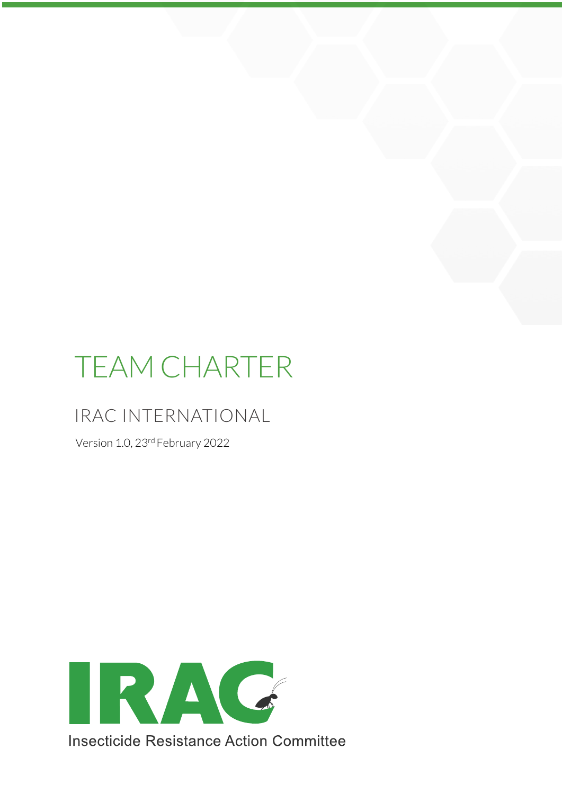# TEAM CHARTER

## IRAC INTERNATIONAL

Version 1.0, 23rd February 2022

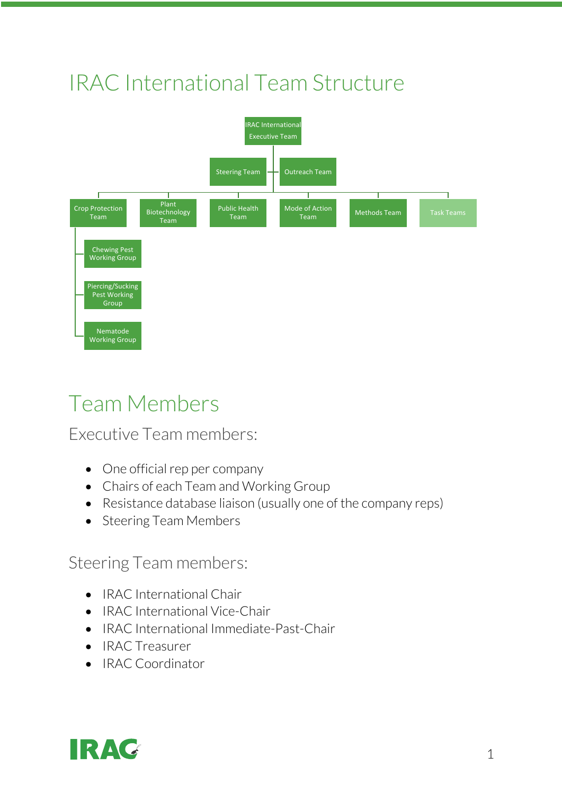# IRAC International Team Structure



# Team Members

#### Executive Team members:

- One official rep per company
- Chairs of each Team and Working Group
- Resistance database liaison (usually one of the company reps)
- Steering Team Members

#### Steering Team members:

- IRAC International Chair
- IRAC International Vice-Chair
- IRAC International Immediate-Past-Chair
- IRAC Treasurer
- IRAC Coordinator

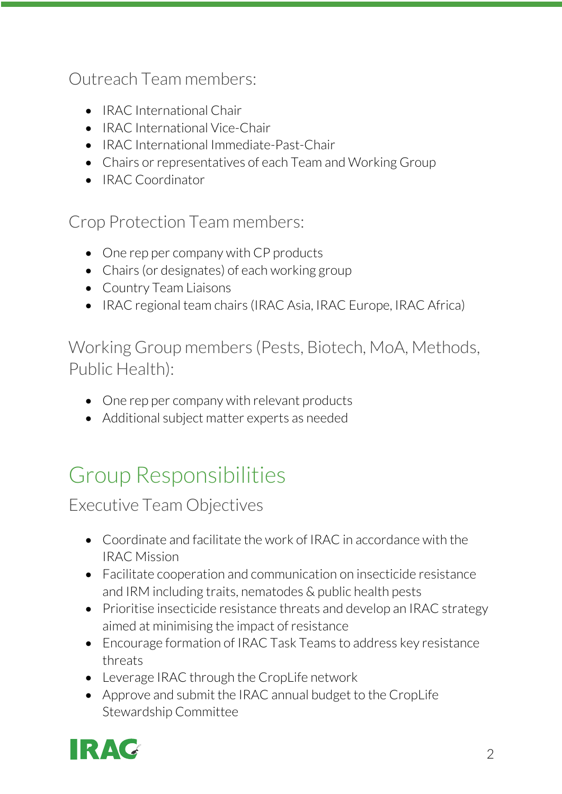Outreach Team members:

- IRAC International Chair
- IRAC International Vice-Chair
- IRAC International Immediate-Past-Chair
- Chairs or representatives of each Team and Working Group
- IRAC Coordinator

Crop Protection Team members:

- One rep per company with CP products
- Chairs (or designates) of each working group
- Country Team Liaisons
- IRAC regional team chairs (IRAC Asia, IRAC Europe, IRAC Africa)

Working Group members (Pests, Biotech, MoA, Methods, Public Health):

- One rep per company with relevant products
- Additional subject matter experts as needed

# Group Responsibilities

Executive Team Objectives

- Coordinate and facilitate the work of IRAC in accordance with the IRAC Mission
- Facilitate cooperation and communication on insecticide resistance and IRM including traits, nematodes & public health pests
- Prioritise insecticide resistance threats and develop an IRAC strategy aimed at minimising the impact of resistance
- Encourage formation of IRAC Task Teams to address key resistance threats
- Leverage IRAC through the CropLife network
- Approve and submit the IRAC annual budget to the CropLife Stewardship Committee

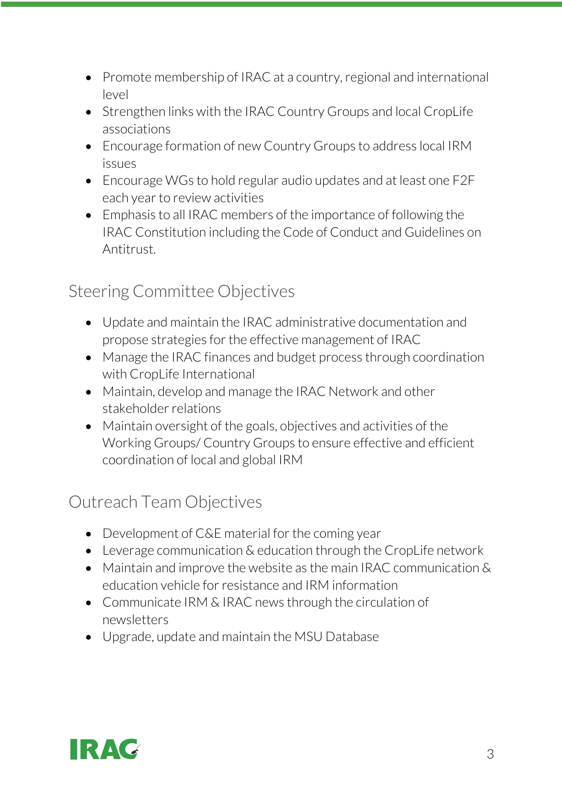- Promote membership of IRAC at a country, regional and international level
- Strengthen links with the IRAC Country Groups and local CropLife associations
- Encourage formation of new Country Groups to address local IRM issues
- Encourage WGs to hold regular audio updates and at least one F2F each year to review activities
- Emphasis to all IRAC members of the importance of following the IRAC Constitution including the Code of Conduct and Guidelines on Antitrust.

#### Steering Committee Objectives

- Update and maintain the IRAC administrative documentation and propose strategies for the effective management of IRAC
- Manage the IRAC finances and budget process through coordination with CropLife International
- Maintain, develop and manage the IRAC Network and other stakeholder relations
- Maintain oversight of the goals, objectives and activities of the Working Groups/ Country Groups to ensure effective and efficient coordination of local and global IRM

#### Outreach Team Objectives

- Development of C&E material for the coming year
- Leverage communication & education through the CropLife network
- Maintain and improve the website as the main IRAC communication & education vehicle for resistance and IRM information
- Communicate IRM & IRAC news through the circulation of newsletters
- Upgrade, update and maintain the MSU Database

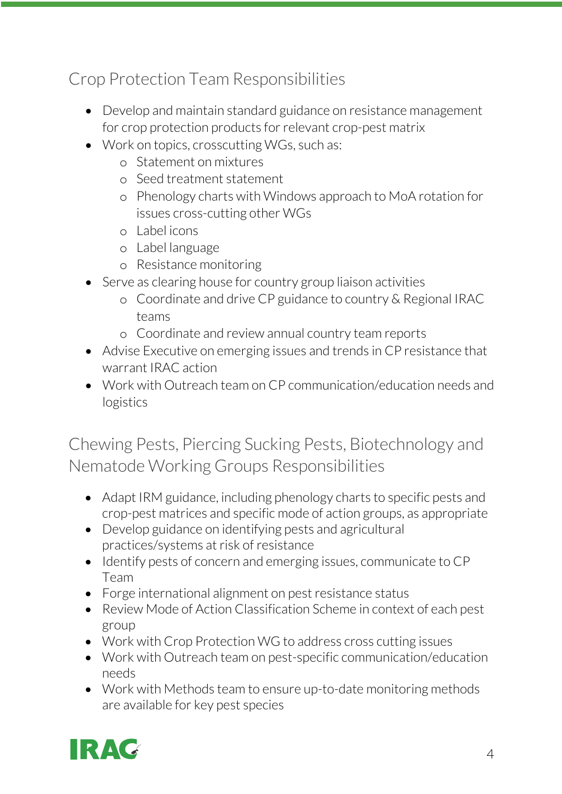## Crop Protection Team Responsibilities

- Develop and maintain standard guidance on resistance management for crop protection products for relevant crop-pest matrix
- Work on topics, crosscutting WGs, such as:
	- o Statement on mixtures
	- o Seed treatment statement
	- o Phenology charts with Windows approach to MoA rotation for issues cross-cutting other WGs
	- o Label icons
	- o Label language
	- o Resistance monitoring
- Serve as clearing house for country group liaison activities
	- o Coordinate and drive CP guidance to country & Regional IRAC teams
	- o Coordinate and review annual country team reports
- Advise Executive on emerging issues and trends in CP resistance that warrant IRAC action
- Work with Outreach team on CP communication/education needs and logistics

Chewing Pests, Piercing Sucking Pests, Biotechnology and Nematode Working Groups Responsibilities

- Adapt IRM guidance, including phenology charts to specific pests and crop-pest matrices and specific mode of action groups, as appropriate
- Develop guidance on identifying pests and agricultural practices/systems at risk of resistance
- Identify pests of concern and emerging issues, communicate to CP Team
- Forge international alignment on pest resistance status
- Review Mode of Action Classification Scheme in context of each pest group
- Work with Crop Protection WG to address cross cutting issues
- Work with Outreach team on pest-specific communication/education needs
- Work with Methods team to ensure up-to-date monitoring methods are available for key pest species